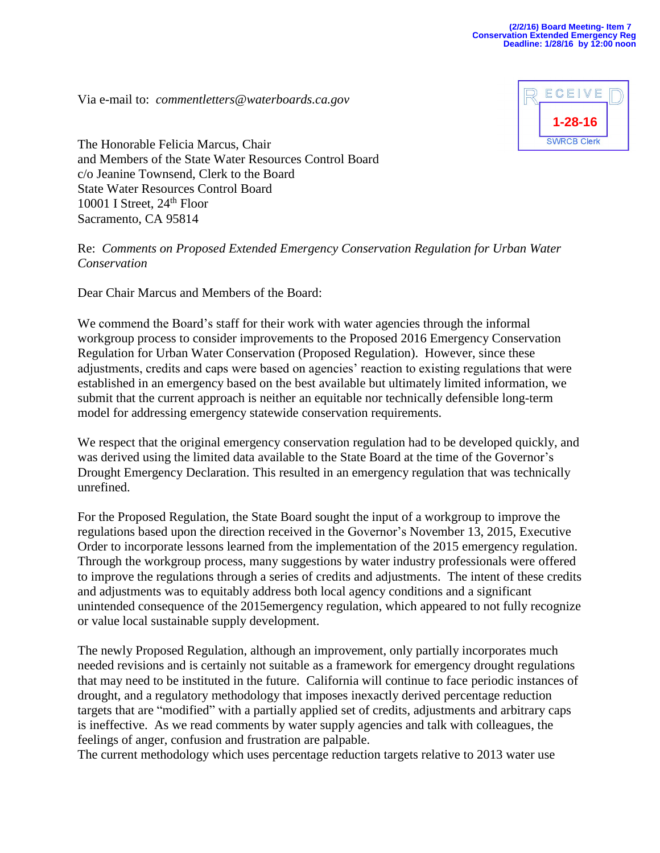Via e-mail to: *[commentletters@waterboards.ca.gov](mailto:commentletters@waterboards.ca.gov)*



The Honorable Felicia Marcus, Chair and Members of the State Water Resources Control Board c/o Jeanine Townsend, Clerk to the Board State Water Resources Control Board 10001 I Street,  $24<sup>th</sup>$  Floor Sacramento, CA 95814

Re: *Comments on Proposed Extended Emergency Conservation Regulation for Urban Water Conservation*

Dear Chair Marcus and Members of the Board:

We commend the Board's staff for their work with water agencies through the informal workgroup process to consider improvements to the Proposed 2016 Emergency Conservation Regulation for Urban Water Conservation (Proposed Regulation). However, since these adjustments, credits and caps were based on agencies' reaction to existing regulations that were established in an emergency based on the best available but ultimately limited information, we submit that the current approach is neither an equitable nor technically defensible long-term model for addressing emergency statewide conservation requirements.

We respect that the original emergency conservation regulation had to be developed quickly, and was derived using the limited data available to the State Board at the time of the Governor's Drought Emergency Declaration. This resulted in an emergency regulation that was technically unrefined.

For the Proposed Regulation, the State Board sought the input of a workgroup to improve the regulations based upon the direction received in the Governor's November 13, 2015, Executive Order to incorporate lessons learned from the implementation of the 2015 emergency regulation. Through the workgroup process, many suggestions by water industry professionals were offered to improve the regulations through a series of credits and adjustments. The intent of these credits and adjustments was to equitably address both local agency conditions and a significant unintended consequence of the 2015emergency regulation, which appeared to not fully recognize or value local sustainable supply development.

The newly Proposed Regulation, although an improvement, only partially incorporates much needed revisions and is certainly not suitable as a framework for emergency drought regulations that may need to be instituted in the future. California will continue to face periodic instances of drought, and a regulatory methodology that imposes inexactly derived percentage reduction targets that are "modified" with a partially applied set of credits, adjustments and arbitrary caps is ineffective. As we read comments by water supply agencies and talk with colleagues, the feelings of anger, confusion and frustration are palpable.

The current methodology which uses percentage reduction targets relative to 2013 water use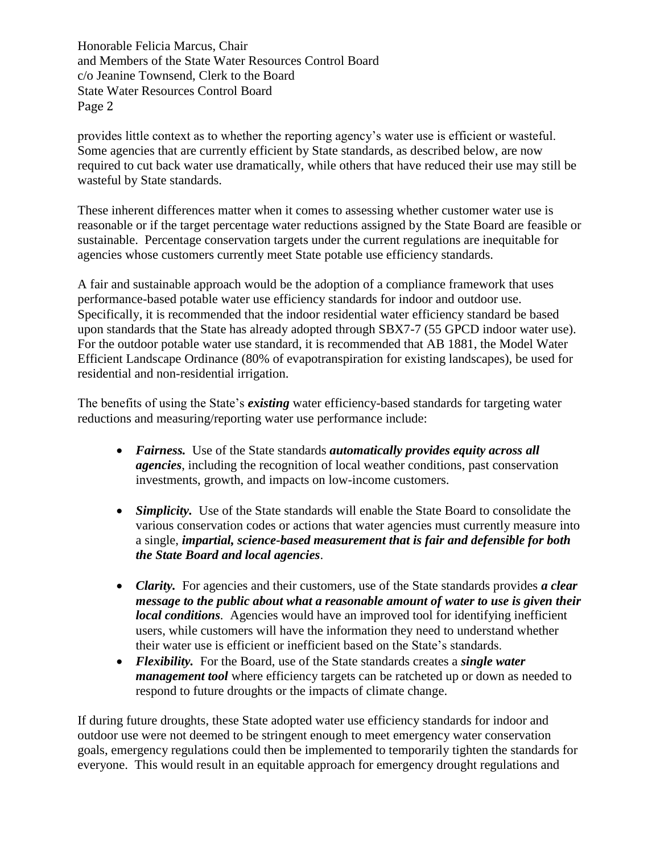Honorable Felicia Marcus, Chair and Members of the State Water Resources Control Board c/o Jeanine Townsend, Clerk to the Board State Water Resources Control Board Page 2

provides little context as to whether the reporting agency's water use is efficient or wasteful. Some agencies that are currently efficient by State standards, as described below, are now required to cut back water use dramatically, while others that have reduced their use may still be wasteful by State standards.

These inherent differences matter when it comes to assessing whether customer water use is reasonable or if the target percentage water reductions assigned by the State Board are feasible or sustainable. Percentage conservation targets under the current regulations are inequitable for agencies whose customers currently meet State potable use efficiency standards.

A fair and sustainable approach would be the adoption of a compliance framework that uses performance-based potable water use efficiency standards for indoor and outdoor use. Specifically, it is recommended that the indoor residential water efficiency standard be based upon standards that the State has already adopted through SBX7-7 (55 GPCD indoor water use). For the outdoor potable water use standard, it is recommended that AB 1881, the Model Water Efficient Landscape Ordinance (80% of evapotranspiration for existing landscapes), be used for residential and non-residential irrigation.

The benefits of using the State's *existing* water efficiency-based standards for targeting water reductions and measuring/reporting water use performance include:

- *Fairness.* Use of the State standards *automatically provides equity across all agencies*, including the recognition of local weather conditions, past conservation investments, growth, and impacts on low-income customers.
- *Simplicity*. Use of the State standards will enable the State Board to consolidate the various conservation codes or actions that water agencies must currently measure into a single, *impartial, science-based measurement that is fair and defensible for both the State Board and local agencies*.
- *Clarity.* For agencies and their customers, use of the State standards provides *a clear message to the public about what a reasonable amount of water to use is given their local conditions.* Agencies would have an improved tool for identifying inefficient users, while customers will have the information they need to understand whether their water use is efficient or inefficient based on the State's standards.
- *Flexibility.* For the Board, use of the State standards creates a *single water management tool* where efficiency targets can be ratcheted up or down as needed to respond to future droughts or the impacts of climate change.

If during future droughts, these State adopted water use efficiency standards for indoor and outdoor use were not deemed to be stringent enough to meet emergency water conservation goals, emergency regulations could then be implemented to temporarily tighten the standards for everyone. This would result in an equitable approach for emergency drought regulations and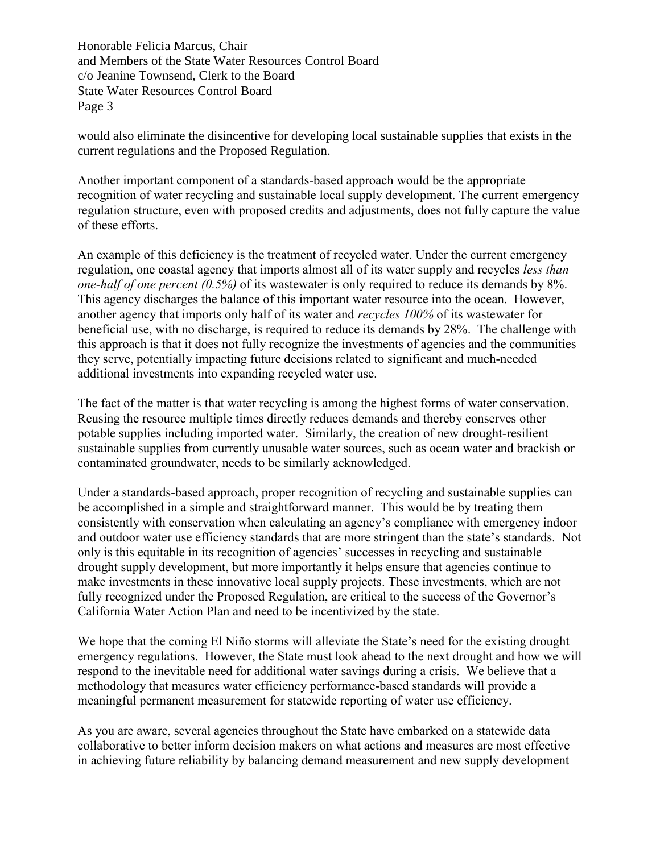Honorable Felicia Marcus, Chair and Members of the State Water Resources Control Board c/o Jeanine Townsend, Clerk to the Board State Water Resources Control Board Page 3

would also eliminate the disincentive for developing local sustainable supplies that exists in the current regulations and the Proposed Regulation.

Another important component of a standards-based approach would be the appropriate recognition of water recycling and sustainable local supply development. The current emergency regulation structure, even with proposed credits and adjustments, does not fully capture the value of these efforts.

An example of this deficiency is the treatment of recycled water. Under the current emergency regulation, one coastal agency that imports almost all of its water supply and recycles *less than one-half of one percent (0.5%)* of its wastewater is only required to reduce its demands by 8%. This agency discharges the balance of this important water resource into the ocean. However, another agency that imports only half of its water and *recycles 100%* of its wastewater for beneficial use, with no discharge, is required to reduce its demands by 28%. The challenge with this approach is that it does not fully recognize the investments of agencies and the communities they serve, potentially impacting future decisions related to significant and much-needed additional investments into expanding recycled water use.

The fact of the matter is that water recycling is among the highest forms of water conservation. Reusing the resource multiple times directly reduces demands and thereby conserves other potable supplies including imported water. Similarly, the creation of new drought-resilient sustainable supplies from currently unusable water sources, such as ocean water and brackish or contaminated groundwater, needs to be similarly acknowledged.

Under a standards-based approach, proper recognition of recycling and sustainable supplies can be accomplished in a simple and straightforward manner. This would be by treating them consistently with conservation when calculating an agency's compliance with emergency indoor and outdoor water use efficiency standards that are more stringent than the state's standards. Not only is this equitable in its recognition of agencies' successes in recycling and sustainable drought supply development, but more importantly it helps ensure that agencies continue to make investments in these innovative local supply projects. These investments, which are not fully recognized under the Proposed Regulation, are critical to the success of the Governor's California Water Action Plan and need to be incentivized by the state.

We hope that the coming El Niño storms will alleviate the State's need for the existing drought emergency regulations. However, the State must look ahead to the next drought and how we will respond to the inevitable need for additional water savings during a crisis. We believe that a methodology that measures water efficiency performance-based standards will provide a meaningful permanent measurement for statewide reporting of water use efficiency.

As you are aware, several agencies throughout the State have embarked on a statewide data collaborative to better inform decision makers on what actions and measures are most effective in achieving future reliability by balancing demand measurement and new supply development